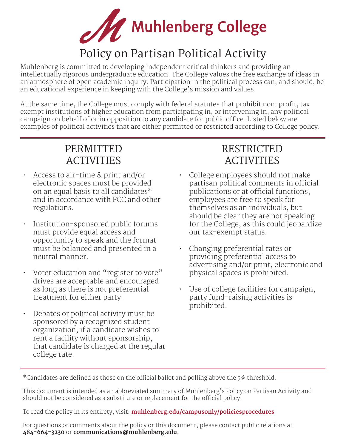

# Policy on Partisan Political Activity

Muhlenberg is committed to developing independent critical thinkers and providing an intellectually rigorous undergraduate education. The College values the free exchange of ideas in an atmosphere of open academic inquiry. Participation in the political process can, and should, be an educational experience in keeping with the College's mission and values.

At the same time, the College must comply with federal statutes that prohibit non-profit, tax exempt institutions of higher education from participating in, or intervening in, any political campaign on behalf of or in opposition to any candidate for public office. Listed below are examples of political activities that are either permitted or restricted according to College policy.

## PERMITTED ACTIVITIES

- Access to air-time & print and/or electronic spaces must be provided on an equal basis to all candidates\* and in accordance with FCC and other regulations.
- Institution-sponsored public forums must provide equal access and opportunity to speak and the format must be balanced and presented in a neutral manner.
- Voter education and "register to vote" drives are acceptable and encouraged as long as there is not preferential treatment for either party.
- Debates or political activity must be sponsored by a recognized student organization; if a candidate wishes to rent a facility without sponsorship, that candidate is charged at the regular college rate.

## RESTRICTED ACTIVITIES

- College employees should not make partisan political comments in official publications or at official functions; employees are free to speak for themselves as an individuals, but should be clear they are not speaking for the College, as this could jeopardize our tax-exempt status.
- Changing preferential rates or providing preferential access to advertising and/or print, electronic and physical spaces is prohibited.
- Use of college facilities for campaign, party fund-raising activities is prohibited.

\*Candidates are defined as those on the official ballot and polling above the 5% threshold.

This document is intended as an abbreviated summary of Muhlenberg's Policy on Partisan Activity and should not be considered as a substitute or replacement for the official policy.

To read the policy in its entirety, visit: **muhlenberg.edu/campusonly/policiesprocedures**

For questions or comments about the policy or this document, please contact public relations at **484-664-3230** or **communications@muhlenberg.edu**.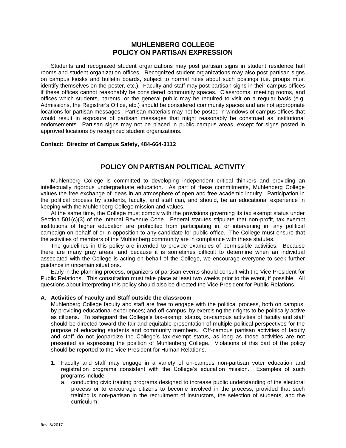### **MUHLENBERG COLLEGE POLICY ON PARTISAN EXPRESSION**

Students and recognized student organizations may post partisan signs in student residence hall rooms and student organization offices. Recognized student organizations may also post partisan signs on campus kiosks and bulletin boards, subject to normal rules about such postings (i.e. groups must identify themselves on the poster, etc.). Faculty and staff may post partisan signs in their campus offices if these offices cannot reasonably be considered community spaces. Classrooms, meeting rooms, and offices which students, parents, or the general public may be required to visit on a regular basis (e.g. Admissions, the Registrar's Office, etc.) should be considered community spaces and are not appropriate locations for partisan messages. Partisan materials may not be posted in windows of campus offices that would result in exposure of partisan messages that might reasonably be construed as institutional endorsements. Partisan signs may not be placed in public campus areas, except for signs posted in approved locations by recognized student organizations.

#### **Contact: Director of Campus Safety, 484-664-3112**

### **POLICY ON PARTISAN POLITICAL ACTIVITY**

Muhlenberg College is committed to developing independent critical thinkers and providing an intellectually rigorous undergraduate education. As part of these commitments, Muhlenberg College values the free exchange of ideas in an atmosphere of open and free academic inquiry. Participation in the political process by students, faculty, and staff can, and should, be an educational experience in keeping with the Muhlenberg College mission and values.

At the same time, the College must comply with the provisions governing its tax exempt status under Section 501(c)(3) of the Internal Revenue Code. Federal statutes stipulate that non-profit, tax exempt institutions of higher education are prohibited from participating in, or intervening in, any political campaign on behalf of or in opposition to any candidate for public office. The College must ensure that the activities of members of the Muhlenberg community are in compliance with these statutes.

The guidelines in this policy are intended to provide examples of permissible activities. Because there are many gray areas, and because it is sometimes difficult to determine when an individual associated with the College is acting on behalf of the College, we encourage everyone to seek further guidance in uncertain situations.

Early in the planning process, organizers of partisan events should consult with the Vice President for Public Relations. This consultation must take place at least two weeks prior to the event, if possible. All questions about interpreting this policy should also be directed the Vice President for Public Relations.

#### **A. Activities of Faculty and Staff outside the classroom**

Muhlenberg College faculty and staff are free to engage with the political process, both on campus, by providing educational experiences; and off-campus, by exercising their rights to be politically active as citizens. To safeguard the College's tax-exempt status, on-campus activities of faculty and staff should be directed toward the fair and equitable presentation of multiple political perspectives for the purpose of educating students and community members. Off-campus partisan activities of faculty and staff do not jeopardize the College's tax-exempt status, as long as those activities are not presented as expressing the position of Muhlenberg College. Violations of this part of the policy should be reported to the Vice President for Human Relations.

- 1. Faculty and staff may engage in a variety of on-campus non-partisan voter education and registration programs consistent with the College's education mission. Examples of such programs include:
	- a. conducting civic training programs designed to increase public understanding of the electoral process or to encourage citizens to become involved in the process, provided that such training is non-partisan in the recruitment of instructors, the selection of students, and the curriculum;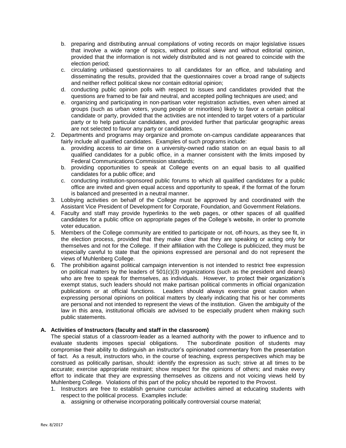- b. preparing and distributing annual compilations of voting records on major legislative issues that involve a wide range of topics, without political skew and without editorial opinion, provided that the information is not widely distributed and is not geared to coincide with the election period;
- c. circulating unbiased questionnaires to all candidates for an office, and tabulating and disseminating the results, provided that the questionnaires cover a broad range of subjects and neither reflect political skew nor contain editorial opinion;
- d. conducting public opinion polls with respect to issues and candidates provided that the questions are framed to be fair and neutral, and accepted polling techniques are used; and
- e. organizing and participating in non-partisan voter registration activities, even when aimed at groups (such as urban voters, young people or minorities) likely to favor a certain political candidate or party, provided that the activities are not intended to target voters of a particular party or to help particular candidates, and provided further that particular geographic areas are not selected to favor any party or candidates.
- 2. Departments and programs may organize and promote on-campus candidate appearances that fairly include all qualified candidates. Examples of such programs include:
	- a. providing access to air time on a university-owned radio station on an equal basis to all qualified candidates for a public office, in a manner consistent with the limits imposed by Federal Communications Commission standards;
	- b. providing opportunities to speak at College events on an equal basis to all qualified candidates for a public office; and
	- c. conducting institution-sponsored public forums to which all qualified candidates for a public office are invited and given equal access and opportunity to speak, if the format of the forum is balanced and presented in a neutral manner.
- 3. Lobbying activities on behalf of the College must be approved by and coordinated with the Assistant Vice President of Development for Corporate, Foundation, and Government Relations.
- 4. Faculty and staff may provide hyperlinks to the web pages, or other spaces of all qualified candidates for a public office on appropriate pages of the College's website, in order to promote voter education.
- 5. Members of the College community are entitled to participate or not, off-hours, as they see fit, in the election process, provided that they make clear that they are speaking or acting only for themselves and not for the College. If their affiliation with the College is publicized, they must be especially careful to state that the opinions expressed are personal and do not represent the views of Muhlenberg College.
- 6. The prohibition against political campaign intervention is not intended to restrict free expression on political matters by the leaders of  $501(c)(3)$  organizations (such as the president and deans) who are free to speak for themselves, as individuals. However, to protect their organization's exempt status, such leaders should not make partisan political comments in official organization publications or at official functions. Leaders should always exercise great caution when expressing personal opinions on political matters by clearly indicating that his or her comments are personal and not intended to represent the views of the institution. Given the ambiguity of the law in this area, institutional officials are advised to be especially prudent when making such public statements.

#### **A. Activities of Instructors (faculty and staff in the classroom)**

The special status of a classroom-leader as a learned authority with the power to influence and to evaluate students imposes special obligations. The subordinate position of students may compromise their ability to distinguish an instructor's opinionated commentary from the presentation of fact. As a result, instructors who, in the course of teaching, express perspectives which may be construed as politically partisan, should: identify the expression as such; strive at all times to be accurate; exercise appropriate restraint; show respect for the opinions of others; and make every effort to indicate that they are expressing themselves as citizens and not voicing views held by Muhlenberg College. Violations of this part of the policy should be reported to the Provost.

- 1. Instructors are free to establish genuine curricular activities aimed at educating students with respect to the political process. Examples include:
	- a. assigning or otherwise incorporating politically controversial course material;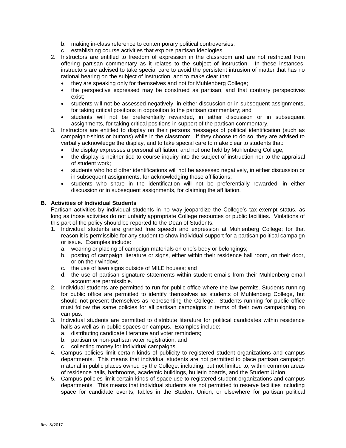- b. making in-class reference to contemporary political controversies;
- c. establishing course activities that explore partisan ideologies.
- 2. Instructors are entitled to freedom of expression in the classroom and are not restricted from offering partisan commentary as it relates to the subject of instruction. In these instances, instructors are advised to take special care to avoid the persistent intrusion of matter that has no rational bearing on the subject of instruction, and to make clear that:
	- they are speaking only for themselves and not for Muhlenberg College;
	- the perspective expressed may be construed as partisan, and that contrary perspectives exist;
	- students will not be assessed negatively, in either discussion or in subsequent assignments, for taking critical positions in opposition to the partisan commentary; and
	- students will not be preferentially rewarded, in either discussion or in subsequent assignments, for taking critical positions in support of the partisan commentary.
- 3. Instructors are entitled to display on their persons messages of political identification (such as campaign t-shirts or buttons) while in the classroom. If they choose to do so, they are advised to verbally acknowledge the display, and to take special care to make clear to students that:
	- the display expresses a personal affiliation, and not one held by Muhlenberg College;
	- the display is neither tied to course inquiry into the subject of instruction nor to the appraisal of student work;
	- students who hold other identifications will not be assessed negatively, in either discussion or in subsequent assignments, for acknowledging those affiliations;
	- students who share in the identification will not be preferentially rewarded, in either discussion or in subsequent assignments, for claiming the affiliation.

#### **B. Activities of Individual Students**

Partisan activities by individual students in no way jeopardize the College's tax-exempt status, as long as those activities do not unfairly appropriate College resources or public facilities. Violations of this part of the policy should be reported to the Dean of Students.

- 1. Individual students are granted free speech and expression at Muhlenberg College; for that reason it is permissible for any student to show individual support for a partisan political campaign or issue. Examples include:
	- a. wearing or placing of campaign materials on one's body or belongings;
	- b. posting of campaign literature or signs, either within their residence hall room, on their door, or on their window;
	- c. the use of lawn signs outside of MILE houses; and
	- d. the use of partisan signature statements within student emails from their Muhlenberg email account are permissible.
- 2. Individual students are permitted to run for public office where the law permits. Students running for public office are permitted to identify themselves as students of Muhlenberg College, but should not present themselves as representing the College. Students running for public office must follow the same policies for all partisan campaigns in terms of their own campaigning on campus.
- 3. Individual students are permitted to distribute literature for political candidates within residence halls as well as in public spaces on campus. Examples include:
	- a. distributing candidate literature and voter reminders;
	- b. partisan or non-partisan voter registration; and
	- c. collecting money for individual campaigns.
- 4. Campus policies limit certain kinds of publicity to registered student organizations and campus departments. This means that individual students are not permitted to place partisan campaign material in public places owned by the College, including, but not limited to, within common areas of residence halls, bathrooms, academic buildings, bulletin boards, and the Student Union.
- 5. Campus policies limit certain kinds of space use to registered student organizations and campus departments. This means that individual students are not permitted to reserve facilities including space for candidate events, tables in the Student Union, or elsewhere for partisan political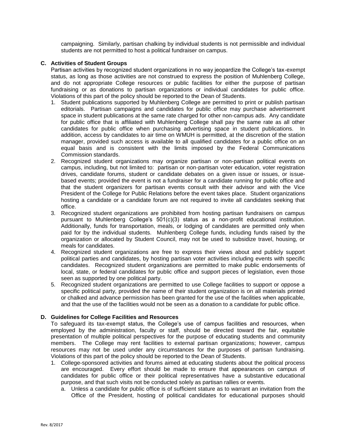campaigning. Similarly, partisan chalking by individual students is not permissible and individual students are not permitted to host a political fundraiser on campus.

#### **C. Activities of Student Groups**

Partisan activities by recognized student organizations in no way jeopardize the College's tax-exempt status, as long as those activities are not construed to express the position of Muhlenberg College, and do not appropriate College resources or public facilities for either the purpose of partisan fundraising or as donations to partisan organizations or individual candidates for public office. Violations of this part of the policy should be reported to the Dean of Students.

- 1. Student publications supported by Muhlenberg College are permitted to print or publish partisan editorials. Partisan campaigns and candidates for public office may purchase advertisement space in student publications at the same rate charged for other non-campus ads. Any candidate for public office that is affiliated with Muhlenberg College shall pay the same rate as all other candidates for public office when purchasing advertising space in student publications. In addition, access by candidates to air time on WMUH is permitted, at the discretion of the station manager, provided such access is available to all qualified candidates for a public office on an equal basis and is consistent with the limits imposed by the Federal Communications Commission standards.
- 2. Recognized student organizations may organize partisan or non-partisan political events on campus, including, but not limited to: partisan or non-partisan voter education, voter registration drives, candidate forums, student or candidate debates on a given issue or issues, or issuebased events; provided the event is not a fundraiser for a candidate running for public office and that the student organizers for partisan events consult with their advisor and with the Vice President of the College for Public Relations before the event takes place. Student organizations hosting a candidate or a candidate forum are not required to invite all candidates seeking that office.
- 3. Recognized student organizations are prohibited from hosting partisan fundraisers on campus pursuant to Muhlenberg College's 501(c)(3) status as a non-profit educational institution. Additionally, funds for transportation, meals, or lodging of candidates are permitted only when paid for by the individual students. Muhlenberg College funds, including funds raised by the organization or allocated by Student Council, may not be used to subsidize travel, housing, or meals for candidates.
- 4. Recognized student organizations are free to express their views about and publicly support political parties and candidates, by hosting partisan voter activities including events with specific candidates. Recognized student organizations are permitted to make public endorsements of local, state, or federal candidates for public office and support pieces of legislation, even those seen as supported by one political party.
- 5. Recognized student organizations are permitted to use College facilities to support or oppose a specific political party, provided the name of their student organization is on all materials printed or chalked and advance permission has been granted for the use of the facilities when applicable, and that the use of the facilities would not be seen as a donation to a candidate for public office.

#### **D. Guidelines for College Facilities and Resources**

To safeguard its tax-exempt status, the College's use of campus facilities and resources, when employed by the administration, faculty or staff, should be directed toward the fair, equitable presentation of multiple political perspectives for the purpose of educating students and community members. The College may rent facilities to external partisan organizations; however, campus resources may not be used under any circumstances for the purposes of partisan fundraising. Violations of this part of the policy should be reported to the Dean of Students.

- 1. College-sponsored activities and forums aimed at educating students about the political process are encouraged. Every effort should be made to ensure that appearances on campus of candidates for public office or their political representatives have a substantive educational purpose, and that such visits not be conducted solely as partisan rallies or events.
	- a. Unless a candidate for public office is of sufficient stature as to warrant an invitation from the Office of the President, hosting of political candidates for educational purposes should